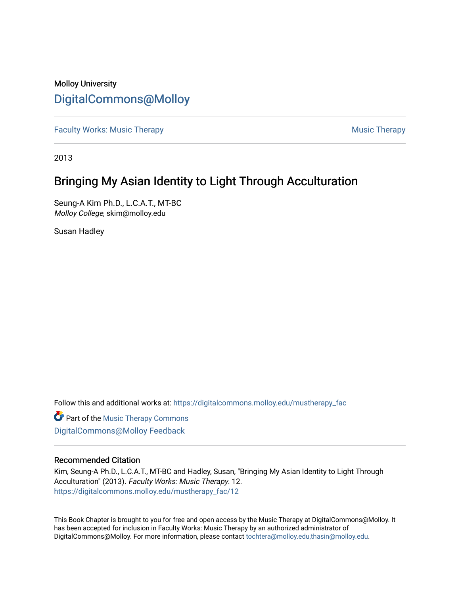## Molloy University [DigitalCommons@Molloy](https://digitalcommons.molloy.edu/)

[Faculty Works: Music Therapy](https://digitalcommons.molloy.edu/mustherapy_fac) [Music Therapy](https://digitalcommons.molloy.edu/mustherapy) Australian Security Music Therapy Music Therapy Music Therapy

2013

# Bringing My Asian Identity to Light Through Acculturation

Seung-A Kim Ph.D., L.C.A.T., MT-BC Molloy College, skim@molloy.edu

Susan Hadley

Follow this and additional works at: [https://digitalcommons.molloy.edu/mustherapy\\_fac](https://digitalcommons.molloy.edu/mustherapy_fac?utm_source=digitalcommons.molloy.edu%2Fmustherapy_fac%2F12&utm_medium=PDF&utm_campaign=PDFCoverPages)

**Part of the [Music Therapy Commons](https://network.bepress.com/hgg/discipline/1248?utm_source=digitalcommons.molloy.edu%2Fmustherapy_fac%2F12&utm_medium=PDF&utm_campaign=PDFCoverPages)** [DigitalCommons@Molloy Feedback](https://molloy.libwizard.com/f/dcfeedback)

#### Recommended Citation

Kim, Seung-A Ph.D., L.C.A.T., MT-BC and Hadley, Susan, "Bringing My Asian Identity to Light Through Acculturation" (2013). Faculty Works: Music Therapy. 12. [https://digitalcommons.molloy.edu/mustherapy\\_fac/12](https://digitalcommons.molloy.edu/mustherapy_fac/12?utm_source=digitalcommons.molloy.edu%2Fmustherapy_fac%2F12&utm_medium=PDF&utm_campaign=PDFCoverPages) 

This Book Chapter is brought to you for free and open access by the Music Therapy at DigitalCommons@Molloy. It has been accepted for inclusion in Faculty Works: Music Therapy by an authorized administrator of DigitalCommons@Molloy. For more information, please contact [tochtera@molloy.edu,thasin@molloy.edu.](mailto:tochtera@molloy.edu,thasin@molloy.edu)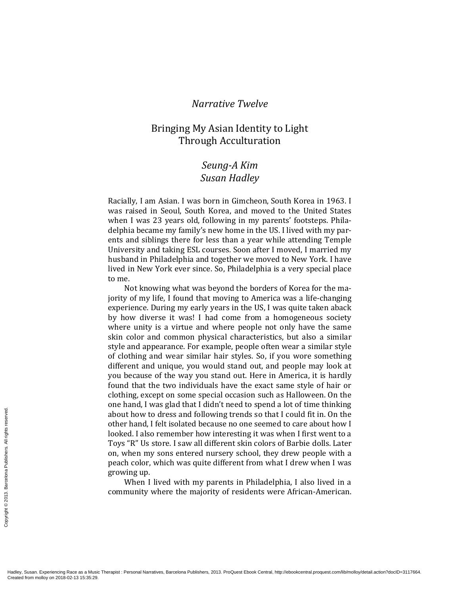### *Narrative Twelve*

## Bringing My Asian Identity to Light Through Acculturation

## *Seung-A Kim Susan Hadley*

Racially, I am Asian. I was born in Gimcheon, South Korea in 1963. I was raised in Seoul, South Korea, and moved to the United States when I was 23 years old, following in my parents' footsteps. Philadelphia became my family's new home in the US. I lived with my parents and siblings there for less than a year while attending Temple University and taking ESL courses. Soon after I moved, I married my husband in Philadelphia and together we moved to New York. I have lived in New York ever since. So, Philadelphia is a very special place to me.

Not knowing what was beyond the borders of Korea for the majority of my life, I found that moving to America was a life-changing experience. During my early years in the US, I was quite taken aback by how diverse it was! I had come from a homogeneous society where unity is a virtue and where people not only have the same skin color and common physical characteristics, but also a similar style and appearance. For example, people often wear a similar style of clothing and wear similar hair styles. So, if you wore something different and unique, you would stand out, and people may look at you because of the way you stand out. Here in America, it is hardly found that the two individuals have the exact same style of hair or clothing, except on some special occasion such as Halloween. On the one hand, I was glad that I didn't need to spend a lot of time thinking about how to dress and following trends so that I could fit in. On the other hand, I felt isolated because no one seemed to care about how I looked. I also remember how interesting it was when I first went to a Toys "R" Us store. I saw all different skin colors of Barbie dolls. Later on, when my sons entered nursery school, they drew people with a peach color, which was quite different from what I drew when I was growing up.

When I lived with my parents in Philadelphia, I also lived in a community where the majority of residents were African-American.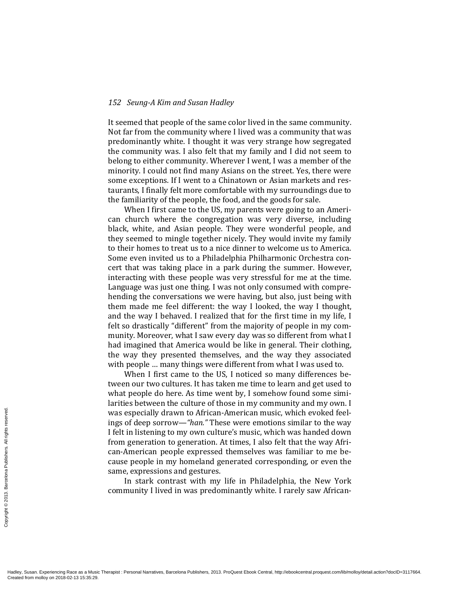It seemed that people of the same color lived in the same community. Not far from the community where I lived was a community that was predominantly white. I thought it was very strange how segregated the community was. I also felt that my family and I did not seem to belong to either community. Wherever I went, I was a member of the minority. I could not find many Asians on the street. Yes, there were some exceptions. If I went to a Chinatown or Asian markets and restaurants, I finally felt more comfortable with my surroundings due to the familiarity of the people, the food, and the goods for sale.

When I first came to the US, my parents were going to an American church where the congregation was very diverse, including black, white, and Asian people. They were wonderful people, and they seemed to mingle together nicely. They would invite my family to their homes to treat us to a nice dinner to welcome us to America. Some even invited us to a Philadelphia Philharmonic Orchestra concert that was taking place in a park during the summer. However, interacting with these people was very stressful for me at the time. Language was just one thing. I was not only consumed with comprehending the conversations we were having, but also, just being with them made me feel different: the way I looked, the way I thought, and the way I behaved. I realized that for the first time in my life, I felt so drastically "different" from the majority of people in my community. Moreover, what I saw every day was so different from what I had imagined that America would be like in general. Their clothing, the way they presented themselves, and the way they associated with people … many things were different from what I was used to.

When I first came to the US, I noticed so many differences between our two cultures. It has taken me time to learn and get used to what people do here. As time went by, I somehow found some similarities between the culture of those in my community and my own. I was especially drawn to African-American music, which evoked feelings of deep sorrow—*"han."* These were emotions similar to the way I felt in listening to my own culture's music, which was handed down from generation to generation. At times, I also felt that the way African-American people expressed themselves was familiar to me because people in my homeland generated corresponding, or even the same, expressions and gestures.

In stark contrast with my life in Philadelphia, the New York community I lived in was predominantly white. I rarely saw African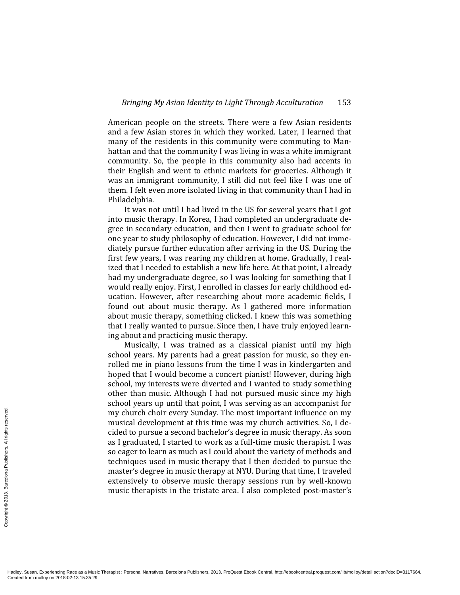American people on the streets. There were a few Asian residents and a few Asian stores in which they worked. Later, I learned that many of the residents in this community were commuting to Manhattan and that the community I was living in was a white immigrant community. So, the people in this community also had accents in their English and went to ethnic markets for groceries. Although it was an immigrant community, I still did not feel like I was one of them. I felt even more isolated living in that community than I had in Philadelphia.

It was not until I had lived in the US for several years that I got into music therapy. In Korea, I had completed an undergraduate degree in secondary education, and then I went to graduate school for one year to study philosophy of education. However, I did not immediately pursue further education after arriving in the US. During the first few years, I was rearing my children at home. Gradually, I realized that I needed to establish a new life here. At that point, I already had my undergraduate degree, so I was looking for something that I would really enjoy. First, I enrolled in classes for early childhood education. However, after researching about more academic fields, I found out about music therapy. As I gathered more information about music therapy, something clicked. I knew this was something that I really wanted to pursue. Since then, I have truly enjoyed learning about and practicing music therapy.

Musically, I was trained as a classical pianist until my high school years. My parents had a great passion for music, so they enrolled me in piano lessons from the time I was in kindergarten and hoped that I would become a concert pianist! However, during high school, my interests were diverted and I wanted to study something other than music. Although I had not pursued music since my high school years up until that point, I was serving as an accompanist for my church choir every Sunday. The most important influence on my musical development at this time was my church activities. So, I decided to pursue a second bachelor's degree in music therapy. As soon as I graduated, I started to work as a full-time music therapist. I was so eager to learn as much as I could about the variety of methods and techniques used in music therapy that I then decided to pursue the master's degree in music therapy at NYU. During that time, I traveled extensively to observe music therapy sessions run by well-known music therapists in the tristate area. I also completed post-master's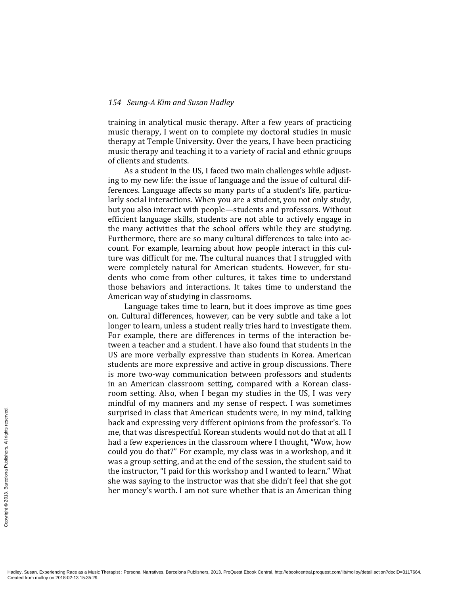training in analytical music therapy. After a few years of practicing music therapy, I went on to complete my doctoral studies in music therapy at Temple University. Over the years, I have been practicing music therapy and teaching it to a variety of racial and ethnic groups of clients and students.

As a student in the US, I faced two main challenges while adjusting to my new life: the issue of language and the issue of cultural differences. Language affects so many parts of a student's life, particularly social interactions. When you are a student, you not only study, but you also interact with people—students and professors. Without efficient language skills, students are not able to actively engage in the many activities that the school offers while they are studying. Furthermore, there are so many cultural differences to take into account. For example, learning about how people interact in this culture was difficult for me. The cultural nuances that I struggled with were completely natural for American students. However, for students who come from other cultures, it takes time to understand those behaviors and interactions. It takes time to understand the American way of studying in classrooms.

Language takes time to learn, but it does improve as time goes on. Cultural differences, however, can be very subtle and take a lot longer to learn, unless a student really tries hard to investigate them. For example, there are differences in terms of the interaction between a teacher and a student. I have also found that students in the US are more verbally expressive than students in Korea. American students are more expressive and active in group discussions. There is more two-way communication between professors and students in an American classroom setting, compared with a Korean classroom setting. Also, when I began my studies in the US, I was very mindful of my manners and my sense of respect. I was sometimes surprised in class that American students were, in my mind, talking back and expressing very different opinions from the professor's. To me, that was disrespectful. Korean students would not do that at all. I had a few experiences in the classroom where I thought, "Wow, how could you do that?" For example, my class was in a workshop, and it was a group setting, and at the end of the session, the student said to the instructor, "I paid for this workshop and I wanted to learn." What she was saying to the instructor was that she didn't feel that she got her money's worth. I am not sure whether that is an American thing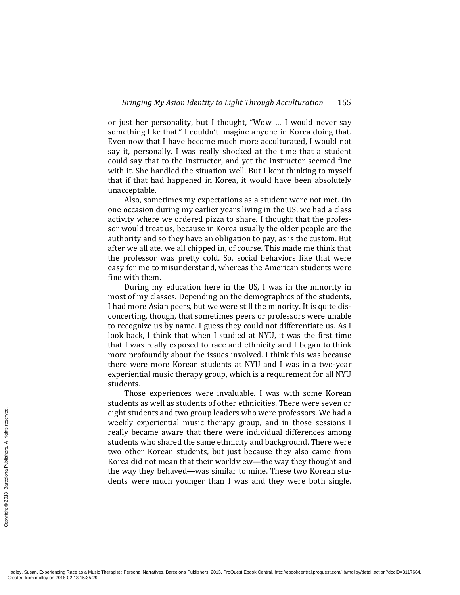or just her personality, but I thought, "Wow … I would never say something like that." I couldn't imagine anyone in Korea doing that. Even now that I have become much more acculturated, I would not say it, personally. I was really shocked at the time that a student could say that to the instructor, and yet the instructor seemed fine with it. She handled the situation well. But I kept thinking to myself that if that had happened in Korea, it would have been absolutely unacceptable.

Also, sometimes my expectations as a student were not met. On one occasion during my earlier years living in the US, we had a class activity where we ordered pizza to share. I thought that the professor would treat us, because in Korea usually the older people are the authority and so they have an obligation to pay, as is the custom. But after we all ate, we all chipped in, of course. This made me think that the professor was pretty cold. So, social behaviors like that were easy for me to misunderstand, whereas the American students were fine with them.

During my education here in the US, I was in the minority in most of my classes. Depending on the demographics of the students, I had more Asian peers, but we were still the minority. It is quite disconcerting, though, that sometimes peers or professors were unable to recognize us by name. I guess they could not differentiate us. As I look back, I think that when I studied at NYU, it was the first time that I was really exposed to race and ethnicity and I began to think more profoundly about the issues involved. I think this was because there were more Korean students at NYU and I was in a two-year experiential music therapy group, which is a requirement for all NYU students.

Those experiences were invaluable. I was with some Korean students as well as students of other ethnicities. There were seven or eight students and two group leaders who were professors. We had a weekly experiential music therapy group, and in those sessions I really became aware that there were individual differences among students who shared the same ethnicity and background. There were two other Korean students, but just because they also came from Korea did not mean that their worldview—the way they thought and the way they behaved—was similar to mine. These two Korean students were much younger than I was and they were both single.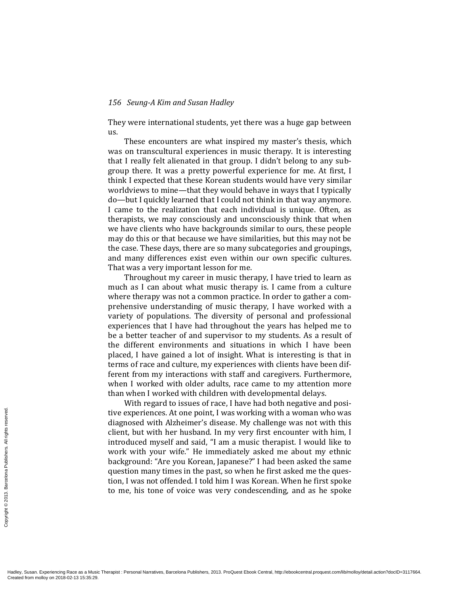They were international students, yet there was a huge gap between us.

These encounters are what inspired my master's thesis, which was on transcultural experiences in music therapy. It is interesting that I really felt alienated in that group. I didn't belong to any subgroup there. It was a pretty powerful experience for me. At first, I think I expected that these Korean students would have very similar worldviews to mine—that they would behave in ways that I typically do—but I quickly learned that I could not think in that way anymore. I came to the realization that each individual is unique. Often, as therapists, we may consciously and unconsciously think that when we have clients who have backgrounds similar to ours, these people may do this or that because we have similarities, but this may not be the case. These days, there are so many subcategories and groupings, and many differences exist even within our own specific cultures. That was a very important lesson for me.

Throughout my career in music therapy, I have tried to learn as much as I can about what music therapy is. I came from a culture where therapy was not a common practice. In order to gather a comprehensive understanding of music therapy, I have worked with a variety of populations. The diversity of personal and professional experiences that I have had throughout the years has helped me to be a better teacher of and supervisor to my students. As a result of the different environments and situations in which I have been placed, I have gained a lot of insight. What is interesting is that in terms of race and culture, my experiences with clients have been different from my interactions with staff and caregivers. Furthermore, when I worked with older adults, race came to my attention more than when I worked with children with developmental delays.

With regard to issues of race, I have had both negative and positive experiences. At one point, I was working with a woman who was diagnosed with Alzheimer's disease. My challenge was not with this client, but with her husband. In my very first encounter with him, I introduced myself and said, "I am a music therapist. I would like to work with your wife." He immediately asked me about my ethnic background: "Are you Korean, Japanese?" I had been asked the same question many times in the past, so when he first asked me the question, I was not offended. I told him I was Korean. When he first spoke to me, his tone of voice was very condescending, and as he spoke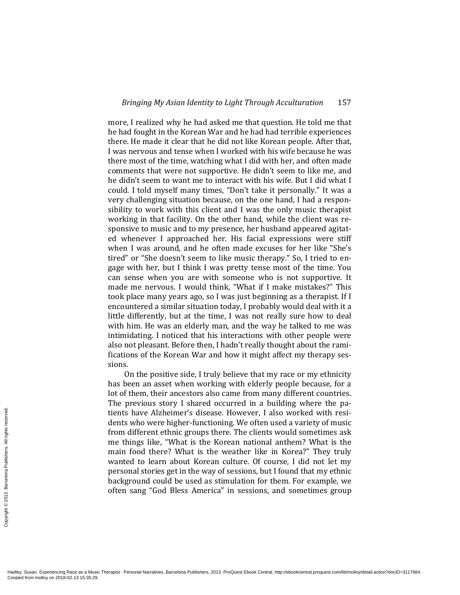more, I realized why he had asked me that question. He told me that he had fought in the Korean War and he had had terrible experiences there. He made it clear that he did not like Korean people. After that, I was nervous and tense when I worked with his wife because he was there most of the time, watching what I did with her, and often made comments that were not supportive. He didn't seem to like me, and he didn't seem to want me to interact with his wife. But I did what I could. I told myself many times, "Don't take it personally." It was a very challenging situation because, on the one hand, I had a responsibility to work with this client and I was the only music therapist working in that facility. On the other hand, while the client was responsive to music and to my presence, her husband appeared agitated whenever I approached her. His facial expressions were stiff when I was around, and he often made excuses for her like "She's tired" or "She doesn't seem to like music therapy." So, I tried to engage with her, but I think I was pretty tense most of the time. You can sense when you are with someone who is not supportive. It made me nervous. I would think, "What if I make mistakes?" This took place many years ago, so I was just beginning as a therapist. If I encountered a similar situation today, I probably would deal with it a little differently, but at the time, I was not really sure how to deal with him. He was an elderly man, and the way he talked to me was intimidating. I noticed that his interactions with other people were also not pleasant. Before then, I hadn't really thought about the ramifications of the Korean War and how it might affect my therapy sessions.

On the positive side, I truly believe that my race or my ethnicity has been an asset when working with elderly people because, for a lot of them, their ancestors also came from many different countries. The previous story I shared occurred in a building where the patients have Alzheimer's disease. However, I also worked with residents who were higher-functioning. We often used a variety of music from different ethnic groups there. The clients would sometimes ask me things like, "What is the Korean national anthem? What is the main food there? What is the weather like in Korea?" They truly wanted to learn about Korean culture. Of course, I did not let my personal stories get in the way of sessions, but I found that my ethnic background could be used as stimulation for them. For example, we often sang "God Bless America" in sessions, and sometimes group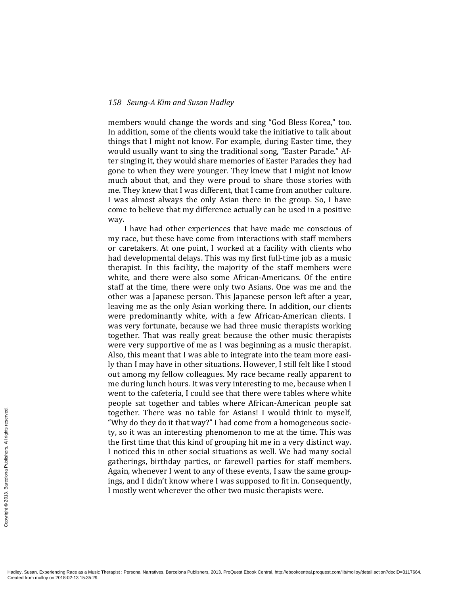members would change the words and sing "God Bless Korea," too. In addition, some of the clients would take the initiative to talk about things that I might not know. For example, during Easter time, they would usually want to sing the traditional song, "Easter Parade." After singing it, they would share memories of Easter Parades they had gone to when they were younger. They knew that I might not know much about that, and they were proud to share those stories with me. They knew that I was different, that I came from another culture. I was almost always the only Asian there in the group. So, I have come to believe that my difference actually can be used in a positive way.

I have had other experiences that have made me conscious of my race, but these have come from interactions with staff members or caretakers. At one point, I worked at a facility with clients who had developmental delays. This was my first full-time job as a music therapist. In this facility, the majority of the staff members were white, and there were also some African-Americans. Of the entire staff at the time, there were only two Asians. One was me and the other was a Japanese person. This Japanese person left after a year, leaving me as the only Asian working there. In addition, our clients were predominantly white, with a few African-American clients. I was very fortunate, because we had three music therapists working together. That was really great because the other music therapists were very supportive of me as I was beginning as a music therapist. Also, this meant that I was able to integrate into the team more easily than I may have in other situations. However, I still felt like I stood out among my fellow colleagues. My race became really apparent to me during lunch hours. It was very interesting to me, because when I went to the cafeteria, I could see that there were tables where white people sat together and tables where African-American people sat together. There was no table for Asians! I would think to myself, "Why do they do it that way?" I had come from a homogeneous society, so it was an interesting phenomenon to me at the time. This was the first time that this kind of grouping hit me in a very distinct way. I noticed this in other social situations as well. We had many social gatherings, birthday parties, or farewell parties for staff members. Again, whenever I went to any of these events, I saw the same groupings, and I didn't know where I was supposed to fit in. Consequently, I mostly went wherever the other two music therapists were.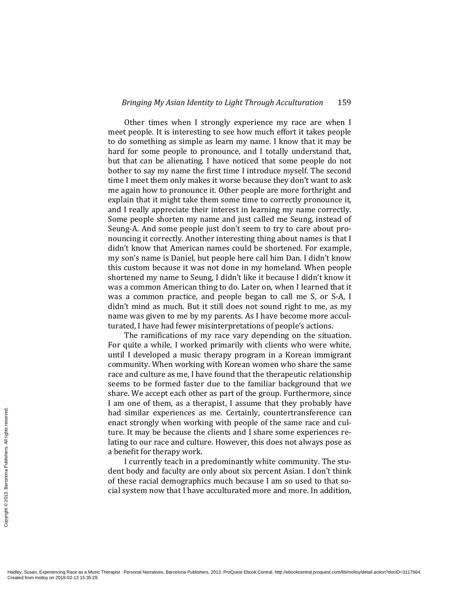Other times when I strongly experience my race are when I meet people. It is interesting to see how much effort it takes people to do something as simple as learn my name. I know that it may be hard for some people to pronounce, and I totally understand that, but that can be alienating. I have noticed that some people do not bother to say my name the first time I introduce myself. The second time I meet them only makes it worse because they don't want to ask me again how to pronounce it. Other people are more forthright and explain that it might take them some time to correctly pronounce it, and I really appreciate their interest in learning my name correctly. Some people shorten my name and just called me Seung, instead of Seung-A. And some people just don't seem to try to care about pronouncing it correctly. Another interesting thing about names is that I didn't know that American names could be shortened. For example, my son's name is Daniel, but people here call him Dan. I didn't know this custom because it was not done in my homeland. When people shortened my name to Seung, I didn't like it because I didn't know it was a common American thing to do. Later on, when I learned that it was a common practice, and people began to call me S, or S-A, I didn't mind as much. But it still does not sound right to me, as my name was given to me by my parents. As I have become more acculturated, I have had fewer misinterpretations of people's actions.

The ramifications of my race vary depending on the situation. For quite a while, I worked primarily with clients who were white, until I developed a music therapy program in a Korean immigrant community. When working with Korean women who share the same race and culture as me, I have found that the therapeutic relationship seems to be formed faster due to the familiar background that we share. We accept each other as part of the group. Furthermore, since I am one of them, as a therapist, I assume that they probably have had similar experiences as me. Certainly, countertransference can enact strongly when working with people of the same race and culture. It may be because the clients and I share some experiences relating to our race and culture. However, this does not always pose as a benefit for therapy work.

I currently teach in a predominantly white community. The student body and faculty are only about six percent Asian. I don't think of these racial demographics much because I am so used to that social system now that I have acculturated more and more. In addition,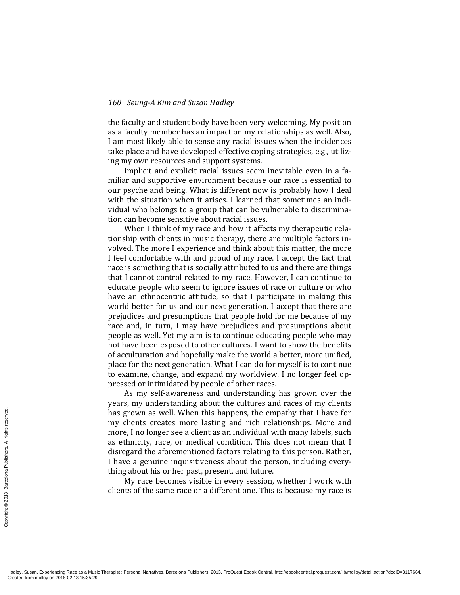the faculty and student body have been very welcoming. My position as a faculty member has an impact on my relationships as well. Also, I am most likely able to sense any racial issues when the incidences take place and have developed effective coping strategies, e.g., utilizing my own resources and support systems.

Implicit and explicit racial issues seem inevitable even in a familiar and supportive environment because our race is essential to our psyche and being. What is different now is probably how I deal with the situation when it arises. I learned that sometimes an individual who belongs to a group that can be vulnerable to discrimination can become sensitive about racial issues.

When I think of my race and how it affects my therapeutic relationship with clients in music therapy, there are multiple factors involved. The more I experience and think about this matter, the more I feel comfortable with and proud of my race. I accept the fact that race is something that is socially attributed to us and there are things that I cannot control related to my race. However, I can continue to educate people who seem to ignore issues of race or culture or who have an ethnocentric attitude, so that I participate in making this world better for us and our next generation. I accept that there are prejudices and presumptions that people hold for me because of my race and, in turn, I may have prejudices and presumptions about people as well. Yet my aim is to continue educating people who may not have been exposed to other cultures. I want to show the benefits of acculturation and hopefully make the world a better, more unified, place for the next generation. What I can do for myself is to continue to examine, change, and expand my worldview. I no longer feel oppressed or intimidated by people of other races.

As my self-awareness and understanding has grown over the years, my understanding about the cultures and races of my clients has grown as well. When this happens, the empathy that I have for my clients creates more lasting and rich relationships. More and more, I no longer see a client as an individual with many labels, such as ethnicity, race, or medical condition. This does not mean that I disregard the aforementioned factors relating to this person. Rather, I have a genuine inquisitiveness about the person, including everything about his or her past, present, and future.

My race becomes visible in every session, whether I work with clients of the same race or a different one. This is because my race is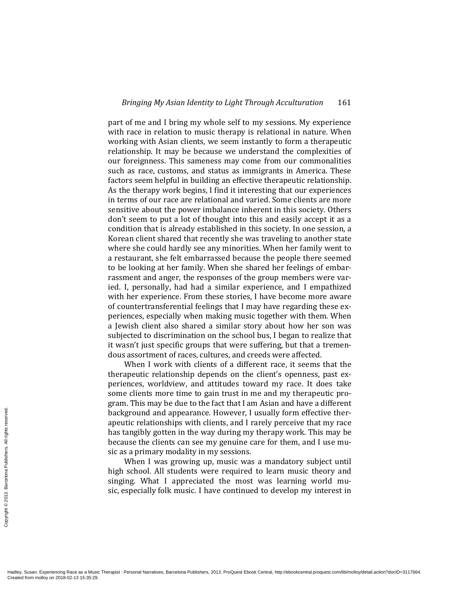part of me and I bring my whole self to my sessions. My experience with race in relation to music therapy is relational in nature. When working with Asian clients, we seem instantly to form a therapeutic relationship. It may be because we understand the complexities of our foreignness. This sameness may come from our commonalities such as race, customs, and status as immigrants in America. These factors seem helpful in building an effective therapeutic relationship. As the therapy work begins, I find it interesting that our experiences in terms of our race are relational and varied. Some clients are more sensitive about the power imbalance inherent in this society. Others don't seem to put a lot of thought into this and easily accept it as a condition that is already established in this society. In one session, a Korean client shared that recently she was traveling to another state where she could hardly see any minorities. When her family went to a restaurant, she felt embarrassed because the people there seemed to be looking at her family. When she shared her feelings of embarrassment and anger, the responses of the group members were varied. I, personally, had had a similar experience, and I empathized with her experience. From these stories, I have become more aware of countertransferential feelings that I may have regarding these experiences, especially when making music together with them. When a Jewish client also shared a similar story about how her son was subjected to discrimination on the school bus, I began to realize that it wasn't just specific groups that were suffering, but that a tremendous assortment of races, cultures, and creeds were affected.

When I work with clients of a different race, it seems that the therapeutic relationship depends on the client's openness, past experiences, worldview, and attitudes toward my race. It does take some clients more time to gain trust in me and my therapeutic program. This may be due to the fact that I am Asian and have a different background and appearance. However, I usually form effective therapeutic relationships with clients, and I rarely perceive that my race has tangibly gotten in the way during my therapy work. This may be because the clients can see my genuine care for them, and I use music as a primary modality in my sessions.

When I was growing up, music was a mandatory subject until high school. All students were required to learn music theory and singing. What I appreciated the most was learning world music, especially folk music. I have continued to develop my interest in